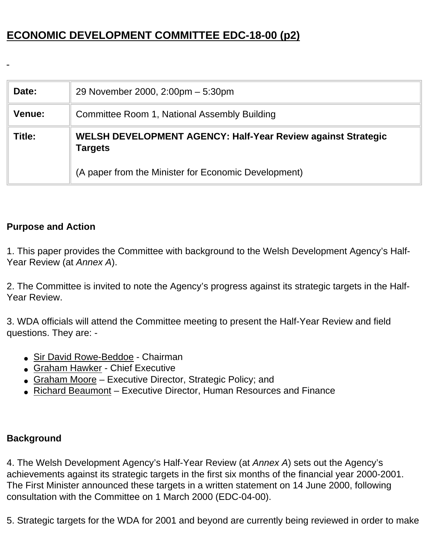# **ECONOMIC DEVELOPMENT COMMITTEE EDC-18-00 (p2)**

| Date:         | 29 November 2000, 2:00pm - 5:30pm                                              |  |  |
|---------------|--------------------------------------------------------------------------------|--|--|
| <b>Venue:</b> | Committee Room 1, National Assembly Building                                   |  |  |
| Title:        | WELSH DEVELOPMENT AGENCY: Half-Year Review against Strategic<br><b>Targets</b> |  |  |
|               | (A paper from the Minister for Economic Development)                           |  |  |

### **Purpose and Action**

1. This paper provides the Committee with background to the Welsh Development Agency's Half-Year Review (at *Annex A*).

2. The Committee is invited to note the Agency's progress against its strategic targets in the Half-Year Review.

3. WDA officials will attend the Committee meeting to present the Half-Year Review and field questions. They are: -

- Sir David Rowe-Beddoe Chairman
- Graham Hawker Chief Executive
- Graham Moore Executive Director, Strategic Policy; and
- Richard Beaumont Executive Director, Human Resources and Finance

#### **Background**

4. The Welsh Development Agency's Half-Year Review (at *Annex A*) sets out the Agency's achievements against its strategic targets in the first six months of the financial year 2000-2001. The First Minister announced these targets in a written statement on 14 June 2000, following consultation with the Committee on 1 March 2000 (EDC-04-00).

5. Strategic targets for the WDA for 2001 and beyond are currently being reviewed in order to make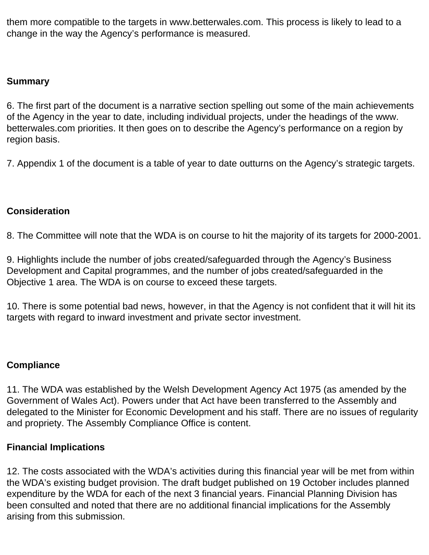them more compatible to the targets in www.betterwales.com. This process is likely to lead to a change in the way the Agency's performance is measured.

#### **Summary**

6. The first part of the document is a narrative section spelling out some of the main achievements of the Agency in the year to date, including individual projects, under the headings of the www. betterwales.com priorities. It then goes on to describe the Agency's performance on a region by region basis.

7. Appendix 1 of the document is a table of year to date outturns on the Agency's strategic targets.

### **Consideration**

8. The Committee will note that the WDA is on course to hit the majority of its targets for 2000-2001.

9. Highlights include the number of jobs created/safeguarded through the Agency's Business Development and Capital programmes, and the number of jobs created/safeguarded in the Objective 1 area. The WDA is on course to exceed these targets.

10. There is some potential bad news, however, in that the Agency is not confident that it will hit its targets with regard to inward investment and private sector investment.

### **Compliance**

11. The WDA was established by the Welsh Development Agency Act 1975 (as amended by the Government of Wales Act). Powers under that Act have been transferred to the Assembly and delegated to the Minister for Economic Development and his staff. There are no issues of regularity and propriety. The Assembly Compliance Office is content.

### **Financial Implications**

12. The costs associated with the WDA's activities during this financial year will be met from within the WDA's existing budget provision. The draft budget published on 19 October includes planned expenditure by the WDA for each of the next 3 financial years. Financial Planning Division has been consulted and noted that there are no additional financial implications for the Assembly arising from this submission.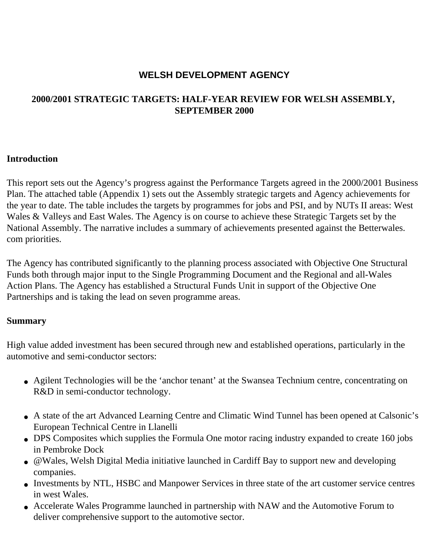## **WELSH DEVELOPMENT AGENCY**

### **2000/2001 STRATEGIC TARGETS: HALF-YEAR REVIEW FOR WELSH ASSEMBLY, SEPTEMBER 2000**

#### **Introduction**

This report sets out the Agency's progress against the Performance Targets agreed in the 2000/2001 Business Plan. The attached table (Appendix 1) sets out the Assembly strategic targets and Agency achievements for the year to date. The table includes the targets by programmes for jobs and PSI, and by NUTs II areas: West Wales & Valleys and East Wales. The Agency is on course to achieve these Strategic Targets set by the National Assembly. The narrative includes a summary of achievements presented against the Betterwales. com priorities.

The Agency has contributed significantly to the planning process associated with Objective One Structural Funds both through major input to the Single Programming Document and the Regional and all-Wales Action Plans. The Agency has established a Structural Funds Unit in support of the Objective One Partnerships and is taking the lead on seven programme areas.

#### **Summary**

High value added investment has been secured through new and established operations, particularly in the automotive and semi-conductor sectors:

- Agilent Technologies will be the 'anchor tenant' at the Swansea Technium centre, concentrating on R&D in semi-conductor technology.
- A state of the art Advanced Learning Centre and Climatic Wind Tunnel has been opened at Calsonic's European Technical Centre in Llanelli
- DPS Composites which supplies the Formula One motor racing industry expanded to create 160 jobs in Pembroke Dock
- @Wales, Welsh Digital Media initiative launched in Cardiff Bay to support new and developing companies.
- Investments by NTL, HSBC and Manpower Services in three state of the art customer service centres in west Wales.
- Accelerate Wales Programme launched in partnership with NAW and the Automotive Forum to deliver comprehensive support to the automotive sector.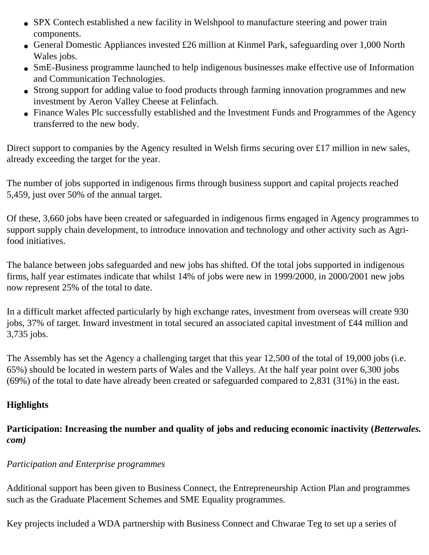- SPX Contech established a new facility in Welshpool to manufacture steering and power train components.
- General Domestic Appliances invested £26 million at Kinmel Park, safeguarding over 1,000 North Wales jobs.
- SmE-Business programme launched to help indigenous businesses make effective use of Information and Communication Technologies.
- Strong support for adding value to food products through farming innovation programmes and new investment by Aeron Valley Cheese at Felinfach.
- Finance Wales Plc successfully established and the Investment Funds and Programmes of the Agency transferred to the new body.

Direct support to companies by the Agency resulted in Welsh firms securing over £17 million in new sales, already exceeding the target for the year.

The number of jobs supported in indigenous firms through business support and capital projects reached 5,459, just over 50% of the annual target.

Of these, 3,660 jobs have been created or safeguarded in indigenous firms engaged in Agency programmes to support supply chain development, to introduce innovation and technology and other activity such as Agrifood initiatives.

The balance between jobs safeguarded and new jobs has shifted. Of the total jobs supported in indigenous firms, half year estimates indicate that whilst 14% of jobs were new in 1999/2000, in 2000/2001 new jobs now represent 25% of the total to date.

In a difficult market affected particularly by high exchange rates, investment from overseas will create 930 jobs, 37% of target. Inward investment in total secured an associated capital investment of £44 million and 3,735 jobs.

The Assembly has set the Agency a challenging target that this year 12,500 of the total of 19,000 jobs (i.e. 65%) should be located in western parts of Wales and the Valleys. At the half year point over 6,300 jobs (69%) of the total to date have already been created or safeguarded compared to 2,831 (31%) in the east.

### **Highlights**

Participation: Increasing the number and quality of jobs and reducing economic inactivity (*Betterwales*. *com)*

#### *Participation and Enterprise programmes*

Additional support has been given to Business Connect, the Entrepreneurship Action Plan and programmes such as the Graduate Placement Schemes and SME Equality programmes.

Key projects included a WDA partnership with Business Connect and Chwarae Teg to set up a series of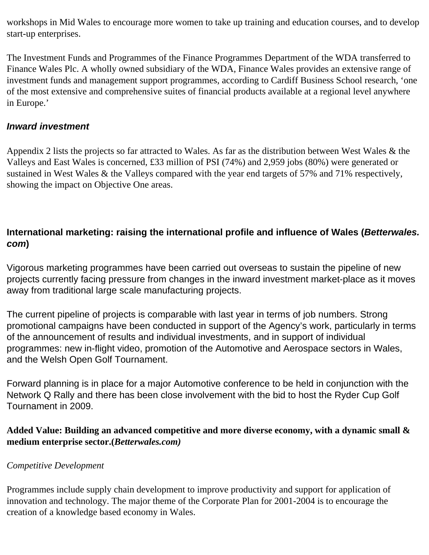workshops in Mid Wales to encourage more women to take up training and education courses, and to develop start-up enterprises.

The Investment Funds and Programmes of the Finance Programmes Department of the WDA transferred to Finance Wales Plc. A wholly owned subsidiary of the WDA, Finance Wales provides an extensive range of investment funds and management support programmes, according to Cardiff Business School research, 'one of the most extensive and comprehensive suites of financial products available at a regional level anywhere in Europe.'

### *Inward investment*

Appendix 2 lists the projects so far attracted to Wales. As far as the distribution between West Wales & the Valleys and East Wales is concerned, £33 million of PSI (74%) and 2,959 jobs (80%) were generated or sustained in West Wales & the Valleys compared with the year end targets of 57% and 71% respectively, showing the impact on Objective One areas.

## **International marketing: raising the international profile and influence of Wales (***Betterwales. com***)**

Vigorous marketing programmes have been carried out overseas to sustain the pipeline of new projects currently facing pressure from changes in the inward investment market-place as it moves away from traditional large scale manufacturing projects.

The current pipeline of projects is comparable with last year in terms of job numbers. Strong promotional campaigns have been conducted in support of the Agency's work, particularly in terms of the announcement of results and individual investments, and in support of individual programmes: new in-flight video, promotion of the Automotive and Aerospace sectors in Wales, and the Welsh Open Golf Tournament.

Forward planning is in place for a major Automotive conference to be held in conjunction with the Network Q Rally and there has been close involvement with the bid to host the Ryder Cup Golf Tournament in 2009.

### **Added Value: Building an advanced competitive and more diverse economy, with a dynamic small & medium enterprise sector.(***Betterwales.com)*

#### *Competitive Development*

Programmes include supply chain development to improve productivity and support for application of innovation and technology. The major theme of the Corporate Plan for 2001-2004 is to encourage the creation of a knowledge based economy in Wales.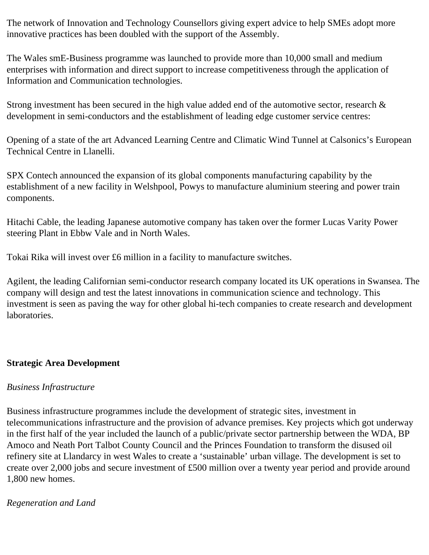The network of Innovation and Technology Counsellors giving expert advice to help SMEs adopt more innovative practices has been doubled with the support of the Assembly.

The Wales smE-Business programme was launched to provide more than 10,000 small and medium enterprises with information and direct support to increase competitiveness through the application of Information and Communication technologies.

Strong investment has been secured in the high value added end of the automotive sector, research & development in semi-conductors and the establishment of leading edge customer service centres:

Opening of a state of the art Advanced Learning Centre and Climatic Wind Tunnel at Calsonics's European Technical Centre in Llanelli.

SPX Contech announced the expansion of its global components manufacturing capability by the establishment of a new facility in Welshpool, Powys to manufacture aluminium steering and power train components.

Hitachi Cable, the leading Japanese automotive company has taken over the former Lucas Varity Power steering Plant in Ebbw Vale and in North Wales.

Tokai Rika will invest over £6 million in a facility to manufacture switches.

Agilent, the leading Californian semi-conductor research company located its UK operations in Swansea. The company will design and test the latest innovations in communication science and technology. This investment is seen as paving the way for other global hi-tech companies to create research and development laboratories.

#### **Strategic Area Development**

#### *Business Infrastructure*

Business infrastructure programmes include the development of strategic sites, investment in telecommunications infrastructure and the provision of advance premises. Key projects which got underway in the first half of the year included the launch of a public/private sector partnership between the WDA, BP Amoco and Neath Port Talbot County Council and the Princes Foundation to transform the disused oil refinery site at Llandarcy in west Wales to create a 'sustainable' urban village. The development is set to create over 2,000 jobs and secure investment of £500 million over a twenty year period and provide around 1,800 new homes.

#### *Regeneration and Land*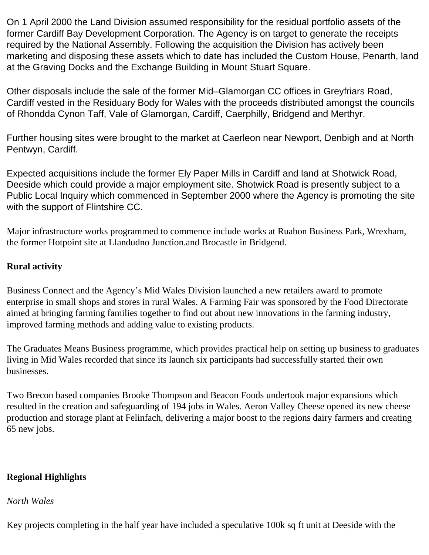On 1 April 2000 the Land Division assumed responsibility for the residual portfolio assets of the former Cardiff Bay Development Corporation. The Agency is on target to generate the receipts required by the National Assembly. Following the acquisition the Division has actively been marketing and disposing these assets which to date has included the Custom House, Penarth, land at the Graving Docks and the Exchange Building in Mount Stuart Square.

Other disposals include the sale of the former Mid–Glamorgan CC offices in Greyfriars Road, Cardiff vested in the Residuary Body for Wales with the proceeds distributed amongst the councils of Rhondda Cynon Taff, Vale of Glamorgan, Cardiff, Caerphilly, Bridgend and Merthyr.

Further housing sites were brought to the market at Caerleon near Newport, Denbigh and at North Pentwyn, Cardiff.

Expected acquisitions include the former Ely Paper Mills in Cardiff and land at Shotwick Road, Deeside which could provide a major employment site. Shotwick Road is presently subject to a Public Local Inquiry which commenced in September 2000 where the Agency is promoting the site with the support of Flintshire CC.

Major infrastructure works programmed to commence include works at Ruabon Business Park, Wrexham, the former Hotpoint site at Llandudno Junction.and Brocastle in Bridgend.

#### **Rural activity**

Business Connect and the Agency's Mid Wales Division launched a new retailers award to promote enterprise in small shops and stores in rural Wales. A Farming Fair was sponsored by the Food Directorate aimed at bringing farming families together to find out about new innovations in the farming industry, improved farming methods and adding value to existing products.

The Graduates Means Business programme, which provides practical help on setting up business to graduates living in Mid Wales recorded that since its launch six participants had successfully started their own businesses.

Two Brecon based companies Brooke Thompson and Beacon Foods undertook major expansions which resulted in the creation and safeguarding of 194 jobs in Wales. Aeron Valley Cheese opened its new cheese production and storage plant at Felinfach, delivering a major boost to the regions dairy farmers and creating 65 new jobs.

### **Regional Highlights**

#### *North Wales*

Key projects completing in the half year have included a speculative 100k sq ft unit at Deeside with the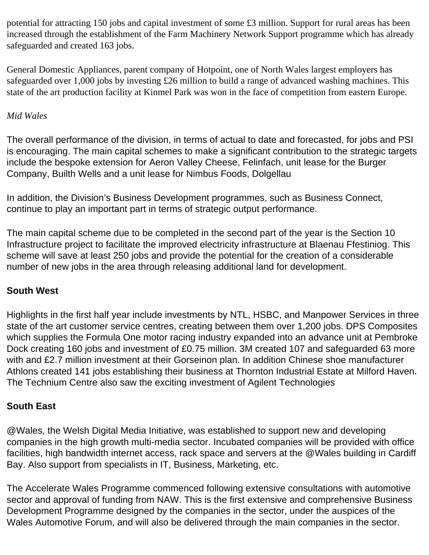potential for attracting 150 jobs and capital investment of some £3 million. Support for rural areas has been increased through the establishment of the Farm Machinery Network Support programme which has already safeguarded and created 163 jobs.

General Domestic Appliances, parent company of Hotpoint, one of North Wales largest employers has safeguarded over 1,000 jobs by investing £26 million to build a range of advanced washing machines. This state of the art production facility at Kinmel Park was won in the face of competition from eastern Europe.

### *Mid Wales*

The overall performance of the division, in terms of actual to date and forecasted, for jobs and PSI is encouraging. The main capital schemes to make a significant contribution to the strategic targets include the bespoke extension for Aeron Valley Cheese, Felinfach, unit lease for the Burger Company, Builth Wells and a unit lease for Nimbus Foods, Dolgellau

In addition, the Division's Business Development programmes, such as Business Connect, continue to play an important part in terms of strategic output performance.

The main capital scheme due to be completed in the second part of the year is the Section 10 Infrastructure project to facilitate the improved electricity infrastructure at Blaenau Ffestiniog. This scheme will save at least 250 jobs and provide the potential for the creation of a considerable number of new jobs in the area through releasing additional land for development.

### **South West**

Highlights in the first half year include investments by NTL, HSBC, and Manpower Services in three state of the art customer service centres, creating between them over 1,200 jobs. DPS Composites which supplies the Formula One motor racing industry expanded into an advance unit at Pembroke Dock creating 160 jobs and investment of £0.75 million. 3M created 107 and safeguarded 63 more with and £2.7 million investment at their Gorseinon plan. In addition Chinese shoe manufacturer Athlons created 141 jobs establishing their business at Thornton Industrial Estate at Milford Haven. The Technium Centre also saw the exciting investment of Agilent Technologies

#### **South East**

@Wales, the Welsh Digital Media Initiative, was established to support new and developing companies in the high growth multi-media sector. Incubated companies will be provided with office facilities, high bandwidth internet access, rack space and servers at the @Wales building in Cardiff Bay. Also support from specialists in IT, Business, Marketing, etc.

The Accelerate Wales Programme commenced following extensive consultations with automotive sector and approval of funding from NAW. This is the first extensive and comprehensive Business Development Programme designed by the companies in the sector, under the auspices of the Wales Automotive Forum, and will also be delivered through the main companies in the sector.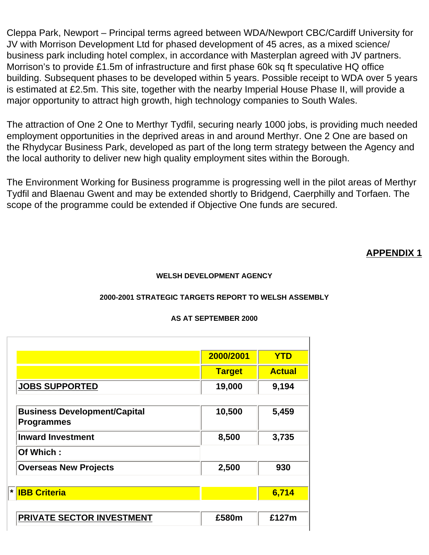Cleppa Park, Newport – Principal terms agreed between WDA/Newport CBC/Cardiff University for JV with Morrison Development Ltd for phased development of 45 acres, as a mixed science/ business park including hotel complex, in accordance with Masterplan agreed with JV partners. Morrison's to provide £1.5m of infrastructure and first phase 60k sq ft speculative HQ office building. Subsequent phases to be developed within 5 years. Possible receipt to WDA over 5 years is estimated at £2.5m. This site, together with the nearby Imperial House Phase II, will provide a major opportunity to attract high growth, high technology companies to South Wales.

The attraction of One 2 One to Merthyr Tydfil, securing nearly 1000 jobs, is providing much needed employment opportunities in the deprived areas in and around Merthyr. One 2 One are based on the Rhydycar Business Park, developed as part of the long term strategy between the Agency and the local authority to deliver new high quality employment sites within the Borough.

The Environment Working for Business programme is progressing well in the pilot areas of Merthyr Tydfil and Blaenau Gwent and may be extended shortly to Bridgend, Caerphilly and Torfaen. The scope of the programme could be extended if Objective One funds are secured.

#### **APPENDIX 1**

#### **WELSH DEVELOPMENT AGENCY**

#### **2000-2001 STRATEGIC TARGETS REPORT TO WELSH ASSEMBLY**

#### **AS AT SEPTEMBER 2000**

|                                                          | 2000/2001     | <b>YTD</b>    |
|----------------------------------------------------------|---------------|---------------|
|                                                          | <b>Target</b> | <b>Actual</b> |
| <b>JOBS SUPPORTED</b>                                    | 19,000        | 9,194         |
|                                                          |               |               |
| <b>Business Development/Capital</b><br><b>Programmes</b> | 10,500        | 5,459         |
| <b>Inward Investment</b>                                 | 8,500         | 3,735         |
| Of Which:                                                |               |               |
| <b>Overseas New Projects</b>                             | 2,500         | 930           |
|                                                          |               |               |
| * <b>IBB Criteria</b>                                    |               | 6,714         |
|                                                          |               |               |
| <b>PRIVATE SECTOR INVESTMENT</b>                         | £580m         | £127m         |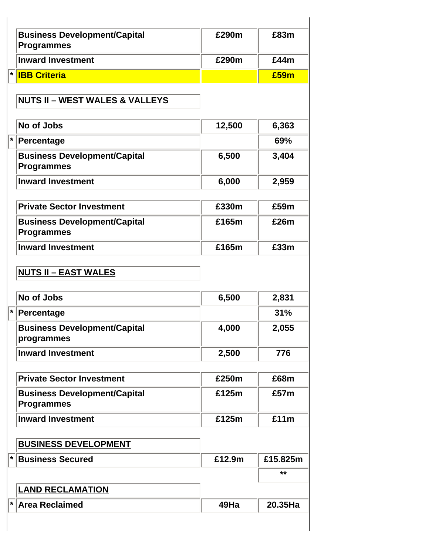| <b>Business Development/Capital</b><br><b>Programmes</b> | £290m  | £83m     |
|----------------------------------------------------------|--------|----------|
| <b>Inward Investment</b>                                 | £290m  | £44m     |
| $\left \star\right $<br><b>IBB Criteria</b>              |        | £59m     |
| <b>NUTS II - WEST WALES &amp; VALLEYS</b>                |        |          |
| No of Jobs                                               | 12,500 | 6,363    |
| $\left  \ast \right $<br><b>Percentage</b>               |        | 69%      |
| <b>Business Development/Capital</b><br><b>Programmes</b> | 6,500  | 3,404    |
| <b>Inward Investment</b>                                 | 6,000  | 2,959    |
| <b>Private Sector Investment</b>                         | £330m  | £59m     |
| <b>Business Development/Capital</b><br><b>Programmes</b> | £165m  | £26m     |
| <b>Inward Investment</b>                                 | £165m  | £33m     |
| <b>NUTS II - EAST WALES</b>                              |        |          |
| No of Jobs                                               | 6,500  | 2,831    |
| Percentage                                               |        | 31%      |
| <b>Business Development/Capital</b><br>programmes        | 4,000  | 2,055    |
| <b>Inward Investment</b>                                 | 2,500  | 776      |
| <b>Private Sector Investment</b>                         | £250m  | £68m     |
| <b>Business Development/Capital</b><br><b>Programmes</b> | £125m  | £57m     |
| <b>Inward Investment</b>                                 | £125m  | £11m     |
| <b>BUSINESS DEVELOPMENT</b>                              |        |          |
| $ \star $<br><b>Business Secured</b>                     | £12.9m | £15.825m |
|                                                          |        | **       |
| <b>LAND RECLAMATION</b>                                  |        |          |
| <b>* Area Reclaimed</b>                                  | 49Ha   | 20.35Ha  |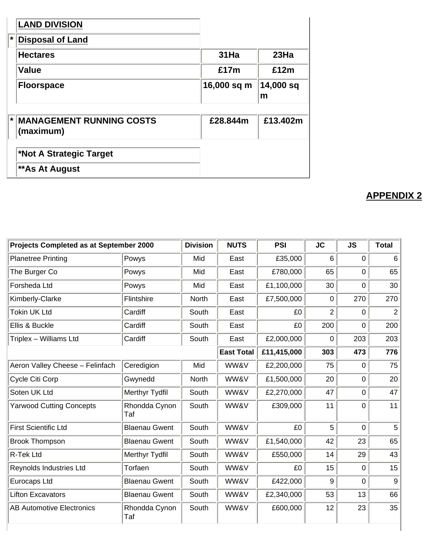|    | <b>LAND DIVISION</b>                          |             |                |
|----|-----------------------------------------------|-------------|----------------|
| ₩. | <b>Disposal of Land</b>                       |             |                |
|    | <b>Hectares</b>                               | $31$ Ha     | 23Ha           |
|    | <b>Value</b>                                  | £17m        | £12m           |
|    | <b>Floorspace</b>                             | 16,000 sq m | 14,000 sq<br>m |
|    |                                               |             |                |
| ∣∗ | <b>IMANAGEMENT RUNNING COSTS</b><br>(maximum) | £28.844m    | £13.402m       |
|    |                                               |             |                |
|    | *Not A Strategic Target                       |             |                |
|    | **As At August                                |             |                |

## **APPENDIX 2**

| Projects Completed as at September 2000 |                      | <b>Division</b> | <b>NUTS</b>       | <b>PSI</b>  | <b>JC</b>      | <b>JS</b>      | <b>Total</b> |
|-----------------------------------------|----------------------|-----------------|-------------------|-------------|----------------|----------------|--------------|
| <b>Planetree Printing</b>               | Powys                | Mid             | East              | £35,000     | 6              | $\overline{0}$ | 6            |
| The Burger Co                           | Powys                | Mid             | East              | £780,000    | 65             | 0              | 65           |
| Forsheda Ltd                            | Powys                | Mid             | East              | £1,100,000  | 30             | 0              | 30           |
| Kimberly-Clarke                         | Flintshire           | North           | East              | £7,500,000  | 0              | 270            | 270          |
| Tokin UK Ltd                            | Cardiff              | South           | East              | £0          | $\overline{2}$ | $\overline{0}$ | 2            |
| Ellis & Buckle                          | Cardiff              | South           | East              | £0          | 200            | 0              | 200          |
| Triplex - Williams Ltd                  | Cardiff              | South           | East              | £2,000,000  | 0              | 203            | 203          |
|                                         |                      |                 | <b>East Total</b> | £11,415,000 | 303            | 473            | 776          |
| Aeron Valley Cheese - Felinfach         | Ceredigion           | Mid             | WW&V              | £2,200,000  | 75             | $\overline{0}$ | 75           |
| Cycle Citi Corp                         | Gwynedd              | North           | WW&V              | £1,500,000  | 20             | $\mathbf 0$    | 20           |
| Soten UK Ltd                            | Merthyr Tydfil       | South           | WW&V              | £2,270,000  | 47             | $\mathbf 0$    | 47           |
| <b>Yarwood Cutting Concepts</b>         | Rhondda Cynon<br>Taf | South           | WW&V              | £309,000    | 11             | 0              | 11           |
| <b>First Scientific Ltd</b>             | <b>Blaenau Gwent</b> | South           | WW&V              | £0          | 5              | $\overline{0}$ | 5            |
| <b>Brook Thompson</b>                   | <b>Blaenau Gwent</b> | South           | WW&V              | £1,540,000  | 42             | 23             | 65           |
| R-Tek Ltd                               | Merthyr Tydfil       | South           | WW&V              | £550,000    | 14             | 29             | 43           |
| Reynolds Industries Ltd                 | Torfaen              | South           | WW&V              | £0          | 15             | $\mathbf 0$    | 15           |
| Eurocaps Ltd                            | <b>Blaenau Gwent</b> | South           | WW&V              | £422,000    | 9              | 0              | 9            |
| <b>Lifton Excavators</b>                | <b>Blaenau Gwent</b> | South           | WW&V              | £2,340,000  | 53             | 13             | 66           |
| <b>AB Automotive Electronics</b>        | Rhondda Cynon<br>Taf | South           | WW&V              | £600,000    | 12             | 23             | 35           |